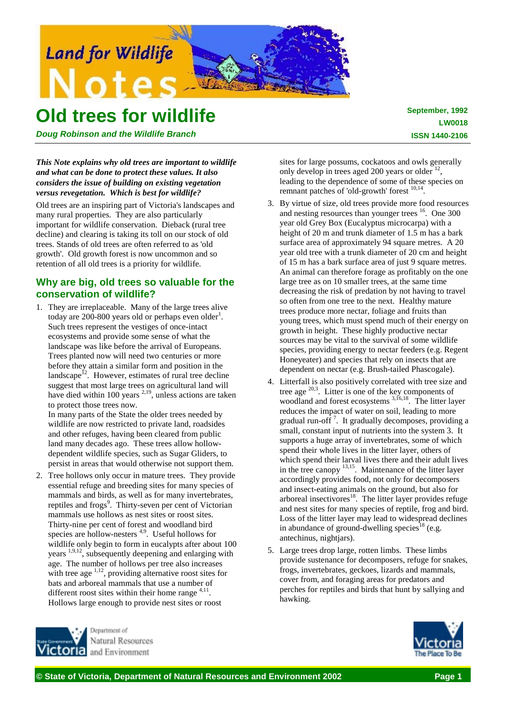

# **Old trees for wildlife**

*Doug Robinson and the Wildlife Branch*

## *This Note explains why old trees are important to wildlife and what can be done to protect these values. It also considers the issue of building on existing vegetation versus revegetation. Which is best for wildlife?*

Old trees are an inspiring part of Victoria's landscapes and many rural properties. They are also particularly important for wildlife conservation. Dieback (rural tree decline) and clearing is taking its toll on our stock of old trees. Stands of old trees are often referred to as 'old growth'. Old growth forest is now uncommon and so retention of all old trees is a priority for wildlife.

# **Why are big, old t**r**ees so valuable for the conservation of wildlife?**

1. They are irreplaceable. Many of the large trees alive today are 200-800 years old or perhaps even older<sup>1</sup>. Such trees represent the vestiges of once-intact ecosystems and provide some sense of what the landscape was like before the arrival of Europeans. Trees planted now will need two centuries or more before they attain a similar form and position in the landscape $12$ . However, estimates of rural tree decline suggest that most large trees on agricultural land will have died within 100 years  $2,19$ , unless actions are taken to protect those trees now.

In many parts of the State the older trees needed by wildlife are now restricted to private land, roadsides and other refuges, having been cleared from public land many decades ago. These trees allow hollowdependent wildlife species, such as Sugar Gliders, to persist in areas that would otherwise not support them.

2. Tree hollows only occur in mature trees. They provide essential refuge and breeding sites for many species of mammals and birds, as well as for many invertebrates, reptiles and frogs<sup>9</sup>. Thirty-seven per cent of Victorian mammals use hollows as nest sites or roost sites. Thirty-nine per cent of forest and woodland bird species are hollow-nesters  $4.9$ . Useful hollows for wildlife only begin to form in eucalypts after about 100 years <sup>1,9,12</sup>, subsequently deepening and enlarging with age. The number of hollows per tree also increases with tree age  $\frac{1}{12}$ , providing alternative roost sites for bats and arboreal mammals that use a number of different roost sites within their home range  $4,11$ . Hollows large enough to provide nest sites or roost

Denartment of Natural Resources and Environment

sites for large possums, cockatoos and owls generally only develop in trees aged 200 years or older  $12$ leading to the dependence of some of these species on remnant patches of 'old-growth' forest <sup>10,14</sup>.

- 3. By virtue of size, old trees provide more food resources and nesting resources than younger trees  $16$ . One 300 year old Grey Box (Eucalyptus microcarpa) with a height of 20 m and trunk diameter of 1.5 m has a bark surface area of approximately 94 square metres. A 20 year old tree with a trunk diameter of 20 cm and height of 15 m has a bark surface area of just 9 square metres. An animal can therefore forage as profitably on the one large tree as on 10 smaller trees, at the same time decreasing the risk of predation by not having to travel so often from one tree to the next. Healthy mature trees produce more nectar, foliage and fruits than young trees, which must spend much of their energy on growth in height. These highly productive nectar sources may be vital to the survival of some wildlife species, providing energy to nectar feeders (e.g. Regent Honeyeater) and species that rely on insects that are dependent on nectar (e.g. Brush-tailed Phascogale).
- 4. Litterfall is also positively correlated with tree size and tree age  $^{20,3}$ . Litter is one of the key components of woodland and forest ecosystems <sup>3,16,18</sup>. The litter layer reduces the impact of water on soil, leading to more gradual run-off<sup>7</sup>. It gradually decomposes, providing a small, constant input of nutrients into the system 3. It supports a huge array of invertebrates, some of which spend their whole lives in the litter layer, others of which spend their larval lives there and their adult lives in the tree canopy 13,15. Maintenance of the litter layer accordingly provides food, not only for decomposers and insect-eating animals on the ground, but also for arboreal insectivores<sup>18</sup>. The litter layer provides refuge and nest sites for many species of reptile, frog and bird. Loss of the litter layer may lead to widespread declines in abundance of ground-dwelling species<sup>18</sup> (e.g. antechinus, nightjars).
- 5. Large trees drop large, rotten limbs. These limbs provide sustenance for decomposers, refuge for snakes, frogs, invertebrates, geckoes, lizards and mammals, cover from, and foraging areas for predators and perches for reptiles and birds that hunt by sallying and hawking.

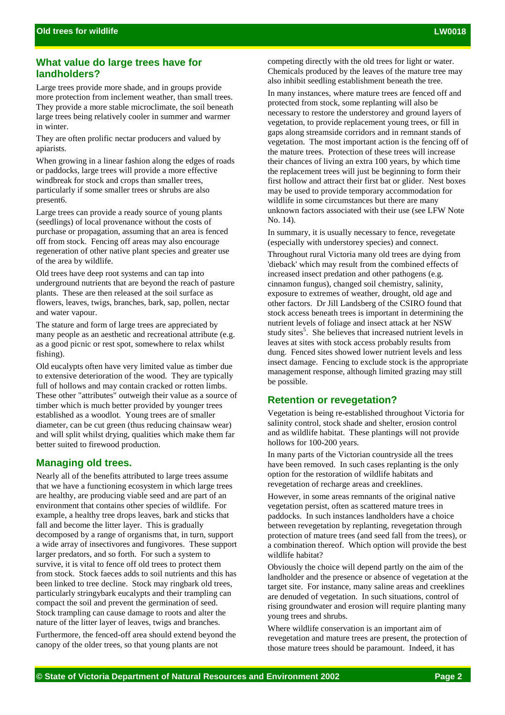# **What value do large trees have for landholders?**

Large trees provide more shade, and in groups provide more protection from inclement weather, than small trees. They provide a more stable microclimate, the soil beneath large trees being relatively cooler in summer and warmer in winter.

They are often prolific nectar producers and valued by apiarists.

When growing in a linear fashion along the edges of roads or paddocks, large trees will provide a more effective windbreak for stock and crops than smaller trees, particularly if some smaller trees or shrubs are also present6.

Large trees can provide a ready source of young plants (seedlings) of local provenance without the costs of purchase or propagation, assuming that an area is fenced off from stock. Fencing off areas may also encourage regeneration of other native plant species and greater use of the area by wildlife.

Old trees have deep root systems and can tap into underground nutrients that are beyond the reach of pasture plants. These are then released at the soil surface as flowers, leaves, twigs, branches, bark, sap, pollen, nectar and water vapour.

The stature and form of large trees are appreciated by many people as an aesthetic and recreational attribute (e.g. as a good picnic or rest spot, somewhere to relax whilst fishing).

Old eucalypts often have very limited value as timber due to extensive deterioration of the wood. They are typically full of hollows and may contain cracked or rotten limbs. These other "attributes" outweigh their value as a source of timber which is much better provided by younger trees established as a woodlot. Young trees are of smaller diameter, can be cut green (thus reducing chainsaw wear) and will split whilst drying, qualities which make them far better suited to firewood production.

# **Managing old trees.**

Nearly all of the benefits attributed to large trees assume that we have a functioning ecosystem in which large trees are healthy, are producing viable seed and are part of an environment that contains other species of wildlife. For example, a healthy tree drops leaves, bark and sticks that fall and become the litter layer. This is gradually decomposed by a range of organisms that, in turn, support a wide array of insectivores and fungivores. These support larger predators, and so forth. For such a system to survive, it is vital to fence off old trees to protect them from stock. Stock faeces adds to soil nutrients and this has been linked to tree decline. Stock may ringbark old trees, particularly stringybark eucalypts and their trampling can compact the soil and prevent the germination of seed. Stock trampling can cause damage to roots and alter the nature of the litter layer of leaves, twigs and branches.

Furthermore, the fenced-off area should extend beyond the canopy of the older trees, so that young plants are not

competing directly with the old trees for light or water. Chemicals produced by the leaves of the mature tree may also inhibit seedling establishment beneath the tree.

In many instances, where mature trees are fenced off and protected from stock, some replanting will also be necessary to restore the understorey and ground layers of vegetation, to provide replacement young trees, or fill in gaps along streamside corridors and in remnant stands of vegetation. The most important action is the fencing off of the mature trees. Protection of these trees will increase their chances of living an extra 100 years, by which time the replacement trees will just be beginning to form their first hollow and attract their first bat or glider. Nest boxes may be used to provide temporary accommodation for wildlife in some circumstances but there are many unknown factors associated with their use (see LFW Note No. 14).

In summary, it is usually necessary to fence, revegetate (especially with understorey species) and connect.

Throughout rural Victoria many old trees are dying from 'dieback' which may result from the combined effects of increased insect predation and other pathogens (e.g. cinnamon fungus), changed soil chemistry, salinity, exposure to extremes of weather, drought, old age and other factors. Dr Jill Landsberg of the CSIRO found that stock access beneath trees is important in determining the nutrient levels of foliage and insect attack at her NSW study sites<sup>5</sup>. She believes that increased nutrient levels in leaves at sites with stock access probably results from dung. Fenced sites showed lower nutrient levels and less insect damage. Fencing to exclude stock is the appropriate management response, although limited grazing may still be possible.

## **Retention or revegetation?**

Vegetation is being re-established throughout Victoria for salinity control, stock shade and shelter, erosion control and as wildlife habitat. These plantings will not provide hollows for 100-200 years.

In many parts of the Victorian countryside all the trees have been removed. In such cases replanting is the only option for the restoration of wildlife habitats and revegetation of recharge areas and creeklines.

However, in some areas remnants of the original native vegetation persist, often as scattered mature trees in paddocks. In such instances landholders have a choice between revegetation by replanting, revegetation through protection of mature trees (and seed fall from the trees), or a combination thereof. Which option will provide the best wildlife habitat?

Obviously the choice will depend partly on the aim of the landholder and the presence or absence of vegetation at the target site. For instance, many saline areas and creeklines are denuded of vegetation. In such situations, control of rising groundwater and erosion will require planting many young trees and shrubs.

Where wildlife conservation is an important aim of revegetation and mature trees are present, the protection of those mature trees should be paramount. Indeed, it has